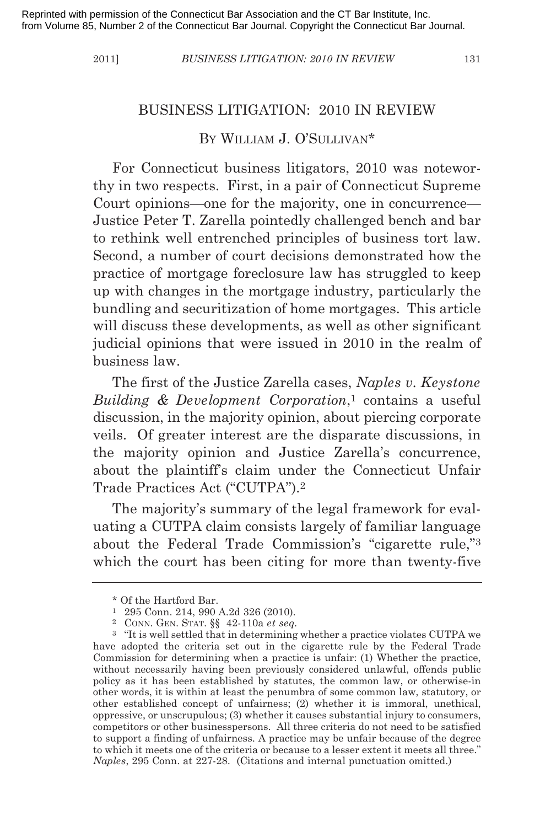## BUSINESS LITIGATION: 2010 IN REVIEW

## BY WILLIAM J. O'SULLIVAN\*

For Connecticut business litigators, 2010 was noteworthy in two respects. First, in a pair of Connecticut Supreme Court opinions—one for the majority, one in concurrence— Justice Peter T. Zarella pointedly challenged bench and bar to rethink well entrenched principles of business tort law. Second, a number of court decisions demonstrated how the practice of mortgage foreclosure law has struggled to keep up with changes in the mortgage industry, particularly the bundling and securitization of home mortgages. This article will discuss these developments, as well as other significant judicial opinions that were issued in 2010 in the realm of business law.

The first of the Justice Zarella cases, *Naples v. Keystone Building & Development Corporation*,<sup>1</sup> contains a useful discussion, in the majority opinion, about piercing corporate veils. Of greater interest are the disparate discussions, in the majority opinion and Justice Zarella's concurrence, about the plaintiff's claim under the Connecticut Unfair Trade Practices Act ("CUTPA").2

The majority's summary of the legal framework for evaluating a CUTPA claim consists largely of familiar language about the Federal Trade Commission's "cigarette rule,"3 which the court has been citing for more than twenty-five

<sup>\*</sup> Of the Hartford Bar.

<sup>1</sup> 295 Conn. 214, 990 A.2d 326 (2010).

<sup>2</sup> CONN. GEN. STAT. §§ 42-110a *et seq.*

<sup>3</sup> "It is well settled that in determining whether a practice violates CUTPA we have adopted the criteria set out in the cigarette rule by the Federal Trade Commission for determining when a practice is unfair: (1) Whether the practice, without necessarily having been previously considered unlawful, offends public policy as it has been established by statutes, the common law, or otherwise-in other words, it is within at least the penumbra of some common law, statutory, or other established concept of unfairness; (2) whether it is immoral, unethical, oppressive, or unscrupulous; (3) whether it causes substantial injury to consumers, competitors or other businesspersons. All three criteria do not need to be satisfied to support a finding of unfairness. A practice may be unfair because of the degree to which it meets one of the criteria or because to a lesser extent it meets all three." *Naples*, 295 Conn. at 227-28. (Citations and internal punctuation omitted.)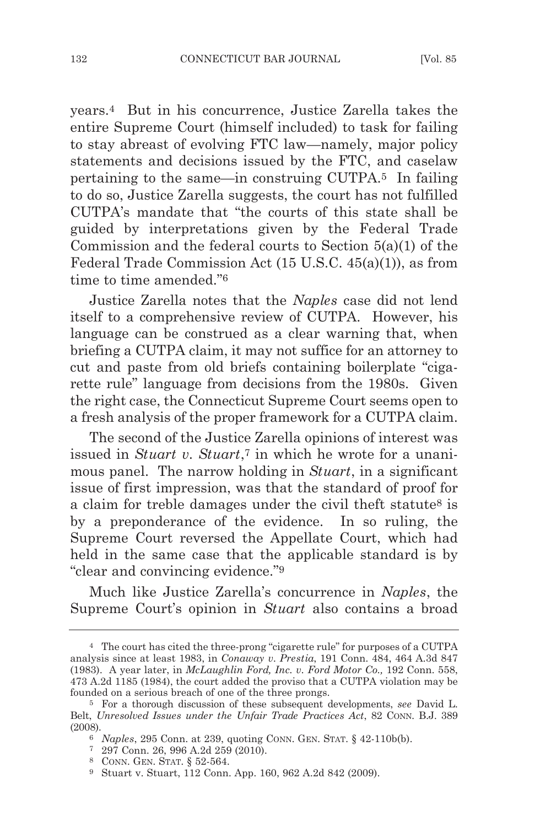years.4 But in his concurrence, Justice Zarella takes the entire Supreme Court (himself included) to task for failing to stay abreast of evolving FTC law—namely, major policy statements and decisions issued by the FTC, and caselaw pertaining to the same—in construing CUTPA.5 In failing to do so, Justice Zarella suggests, the court has not fulfilled CUTPA's mandate that "the courts of this state shall be guided by interpretations given by the Federal Trade Commission and the federal courts to Section 5(a)(1) of the Federal Trade Commission Act (15 U.S.C. 45(a)(1)), as from time to time amended."6

Justice Zarella notes that the *Naples* case did not lend itself to a comprehensive review of CUTPA. However, his language can be construed as a clear warning that, when briefing a CUTPA claim, it may not suffice for an attorney to cut and paste from old briefs containing boilerplate "cigarette rule" language from decisions from the 1980s. Given the right case, the Connecticut Supreme Court seems open to a fresh analysis of the proper framework for a CUTPA claim.

The second of the Justice Zarella opinions of interest was issued in *Stuart v. Stuart*,7 in which he wrote for a unanimous panel. The narrow holding in *Stuart*, in a significant issue of first impression, was that the standard of proof for a claim for treble damages under the civil theft statute<sup>8</sup> is by a preponderance of the evidence. In so ruling, the Supreme Court reversed the Appellate Court, which had held in the same case that the applicable standard is by "clear and convincing evidence."9

Much like Justice Zarella's concurrence in *Naples*, the Supreme Court's opinion in *Stuart* also contains a broad

<sup>4</sup> The court has cited the three-prong "cigarette rule" for purposes of a CUTPA analysis since at least 1983, in *Conaway v. Prestia*, 191 Conn. 484, 464 A.3d 847 (1983). A year later, in *McLaughlin Ford, Inc. v. Ford Motor Co.,* 192 Conn. 558, 473 A.2d 1185 (1984), the court added the proviso that a CUTPA violation may be founded on a serious breach of one of the three prongs.

<sup>5</sup> For a thorough discussion of these subsequent developments, *see* David L. Belt, *Unresolved Issues under the Unfair Trade Practices Act*, 82 CONN. B.J. 389 (2008).

<sup>6</sup> *Naples*, 295 Conn. at 239, quoting CONN. GEN. STAT. § 42-110b(b). 7 297 Conn. 26, 996 A.2d 259 (2010).

<sup>8</sup> CONN. GEN. STAT. § 52-564.

<sup>9</sup> Stuart v. Stuart, 112 Conn. App. 160, 962 A.2d 842 (2009).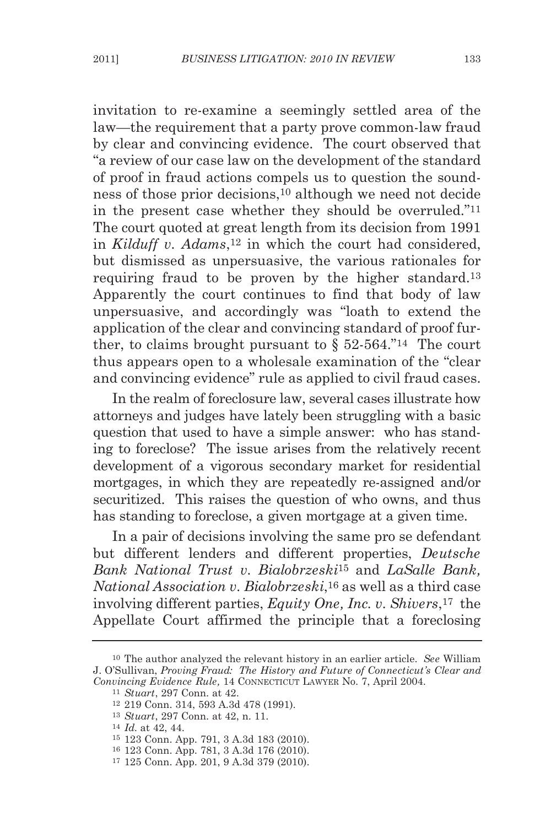invitation to re-examine a seemingly settled area of the law—the requirement that a party prove common-law fraud by clear and convincing evidence. The court observed that "a review of our case law on the development of the standard of proof in fraud actions compels us to question the soundness of those prior decisions,10 although we need not decide in the present case whether they should be overruled."11 The court quoted at great length from its decision from 1991 in *Kilduff v. Adams*,12 in which the court had considered, but dismissed as unpersuasive, the various rationales for requiring fraud to be proven by the higher standard.13 Apparently the court continues to find that body of law unpersuasive, and accordingly was "loath to extend the application of the clear and convincing standard of proof further, to claims brought pursuant to  $\S 52-564$ ."<sup>14</sup> The court thus appears open to a wholesale examination of the "clear and convincing evidence" rule as applied to civil fraud cases.

In the realm of foreclosure law, several cases illustrate how attorneys and judges have lately been struggling with a basic question that used to have a simple answer: who has standing to foreclose? The issue arises from the relatively recent development of a vigorous secondary market for residential mortgages, in which they are repeatedly re-assigned and/or securitized. This raises the question of who owns, and thus has standing to foreclose, a given mortgage at a given time.

In a pair of decisions involving the same pro se defendant but different lenders and different properties, *Deutsche Bank National Trust v. Bialobrzeski*<sup>15</sup> and *LaSalle Bank, National Association v. Bialobrzeski*,16 as well as a third case involving different parties, *Equity One, Inc. v. Shivers*,17 the Appellate Court affirmed the principle that a foreclosing

<sup>10</sup> The author analyzed the relevant history in an earlier article. *See* William J. O'Sullivan, *Proving Fraud: The History and Future of Connecticut's Clear and Convincing Evidence Rule,* 14 CONNECTICUT LAWYER No. 7, April 2004. 11 *Stuart*, 297 Conn. at 42.

<sup>12</sup> 219 Conn. 314, 593 A.3d 478 (1991).

<sup>13</sup> *Stuart*, 297 Conn. at 42, n. 11.

<sup>14</sup> *Id*. at 42, 44.

<sup>15</sup> 123 Conn. App. 791, 3 A.3d 183 (2010).

<sup>16</sup> 123 Conn. App. 781, 3 A.3d 176 (2010).

<sup>17</sup> 125 Conn. App. 201, 9 A.3d 379 (2010).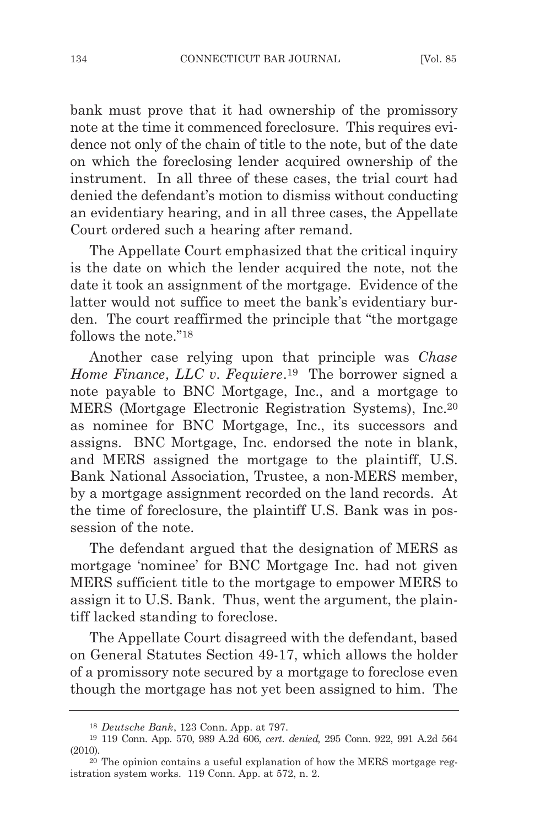bank must prove that it had ownership of the promissory note at the time it commenced foreclosure. This requires evidence not only of the chain of title to the note, but of the date on which the foreclosing lender acquired ownership of the instrument. In all three of these cases, the trial court had denied the defendant's motion to dismiss without conducting an evidentiary hearing, and in all three cases, the Appellate Court ordered such a hearing after remand.

The Appellate Court emphasized that the critical inquiry is the date on which the lender acquired the note, not the date it took an assignment of the mortgage. Evidence of the latter would not suffice to meet the bank's evidentiary burden. The court reaffirmed the principle that "the mortgage follows the note."18

Another case relying upon that principle was *Chase Home Finance, LLC v. Fequiere*.19 The borrower signed a note payable to BNC Mortgage, Inc., and a mortgage to MERS (Mortgage Electronic Registration Systems), Inc.20 as nominee for BNC Mortgage, Inc., its successors and assigns. BNC Mortgage, Inc. endorsed the note in blank, and MERS assigned the mortgage to the plaintiff, U.S. Bank National Association, Trustee, a non-MERS member, by a mortgage assignment recorded on the land records. At the time of foreclosure, the plaintiff U.S. Bank was in possession of the note.

The defendant argued that the designation of MERS as mortgage 'nominee' for BNC Mortgage Inc. had not given MERS sufficient title to the mortgage to empower MERS to assign it to U.S. Bank. Thus, went the argument, the plaintiff lacked standing to foreclose.

The Appellate Court disagreed with the defendant, based on General Statutes Section 49-17, which allows the holder of a promissory note secured by a mortgage to foreclose even though the mortgage has not yet been assigned to him. The

<sup>18</sup> *Deutsche Bank*, 123 Conn. App. at 797.

<sup>19</sup> 119 Conn. App. 570, 989 A.2d 606, *cert. denied,* 295 Conn. 922, 991 A.2d 564 (2010).

<sup>20</sup> The opinion contains a useful explanation of how the MERS mortgage registration system works. 119 Conn. App. at 572, n. 2.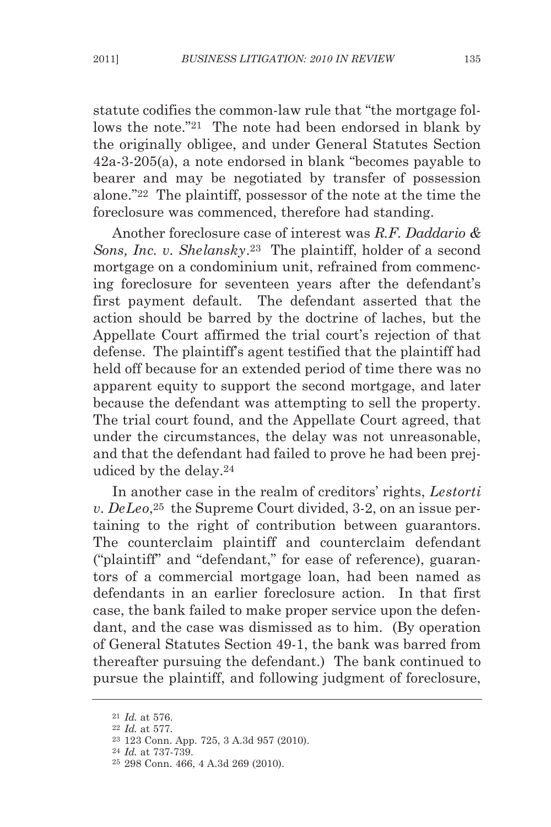statute codifies the common-law rule that "the mortgage follows the note."21 The note had been endorsed in blank by the originally obligee, and under General Statutes Section 42a-3-205(a), a note endorsed in blank "becomes payable to bearer and may be negotiated by transfer of possession alone."22 The plaintiff, possessor of the note at the time the foreclosure was commenced, therefore had standing.

Another foreclosure case of interest was *R.F. Daddario & Sons, Inc. v. Shelansky*.23 The plaintiff, holder of a second mortgage on a condominium unit, refrained from commencing foreclosure for seventeen years after the defendant's first payment default. The defendant asserted that the action should be barred by the doctrine of laches, but the Appellate Court affirmed the trial court's rejection of that defense. The plaintiff's agent testified that the plaintiff had held off because for an extended period of time there was no apparent equity to support the second mortgage, and later because the defendant was attempting to sell the property. The trial court found, and the Appellate Court agreed, that under the circumstances, the delay was not unreasonable, and that the defendant had failed to prove he had been prejudiced by the delay.24

In another case in the realm of creditors' rights, *Lestorti v. DeLeo*,25 the Supreme Court divided, 3-2, on an issue pertaining to the right of contribution between guarantors. The counterclaim plaintiff and counterclaim defendant ("plaintiff" and "defendant," for ease of reference), guarantors of a commercial mortgage loan, had been named as defendants in an earlier foreclosure action. In that first case, the bank failed to make proper service upon the defendant, and the case was dismissed as to him. (By operation of General Statutes Section 49-1, the bank was barred from thereafter pursuing the defendant.) The bank continued to pursue the plaintiff, and following judgment of foreclosure,

<sup>21</sup> *Id.* at 576.

<sup>22</sup> *Id.* at 577.

<sup>23</sup> 123 Conn. App. 725, 3 A.3d 957 (2010).

<sup>24</sup> *Id.* at 737-739.

<sup>25</sup> 298 Conn. 466, 4 A.3d 269 (2010).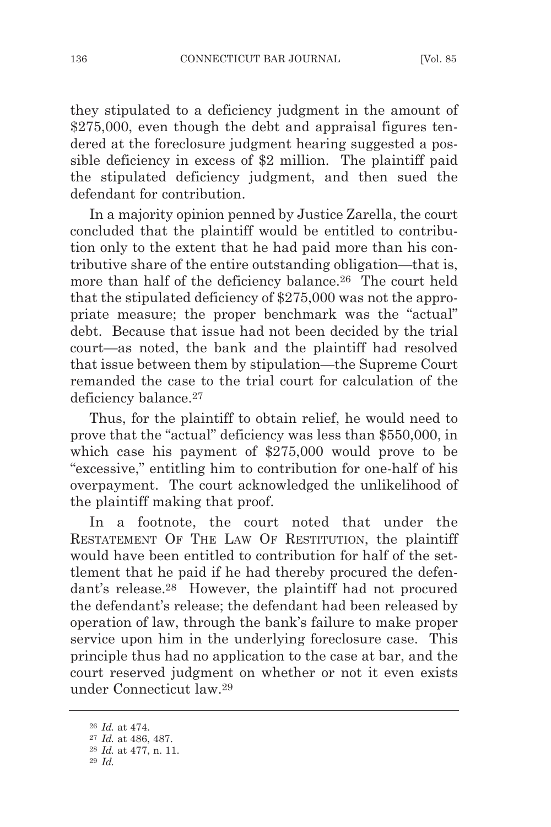they stipulated to a deficiency judgment in the amount of \$275,000, even though the debt and appraisal figures tendered at the foreclosure judgment hearing suggested a possible deficiency in excess of \$2 million. The plaintiff paid the stipulated deficiency judgment, and then sued the defendant for contribution.

In a majority opinion penned by Justice Zarella, the court concluded that the plaintiff would be entitled to contribution only to the extent that he had paid more than his contributive share of the entire outstanding obligation—that is, more than half of the deficiency balance.26 The court held that the stipulated deficiency of \$275,000 was not the appropriate measure; the proper benchmark was the "actual" debt. Because that issue had not been decided by the trial court—as noted, the bank and the plaintiff had resolved that issue between them by stipulation—the Supreme Court remanded the case to the trial court for calculation of the deficiency balance.27

Thus, for the plaintiff to obtain relief, he would need to prove that the "actual" deficiency was less than \$550,000, in which case his payment of \$275,000 would prove to be "excessive," entitling him to contribution for one-half of his overpayment. The court acknowledged the unlikelihood of the plaintiff making that proof.

In a footnote, the court noted that under the RESTATEMENT OF THE LAW OF RESTITUTION, the plaintiff would have been entitled to contribution for half of the settlement that he paid if he had thereby procured the defendant's release.28 However, the plaintiff had not procured the defendant's release; the defendant had been released by operation of law, through the bank's failure to make proper service upon him in the underlying foreclosure case. This principle thus had no application to the case at bar, and the court reserved judgment on whether or not it even exists under Connecticut law.29

<sup>26</sup> *Id.* at 474.

<sup>27</sup> *Id.* at 486, 487.

<sup>28</sup> *Id.* at 477, n. 11.

<sup>29</sup> *Id.*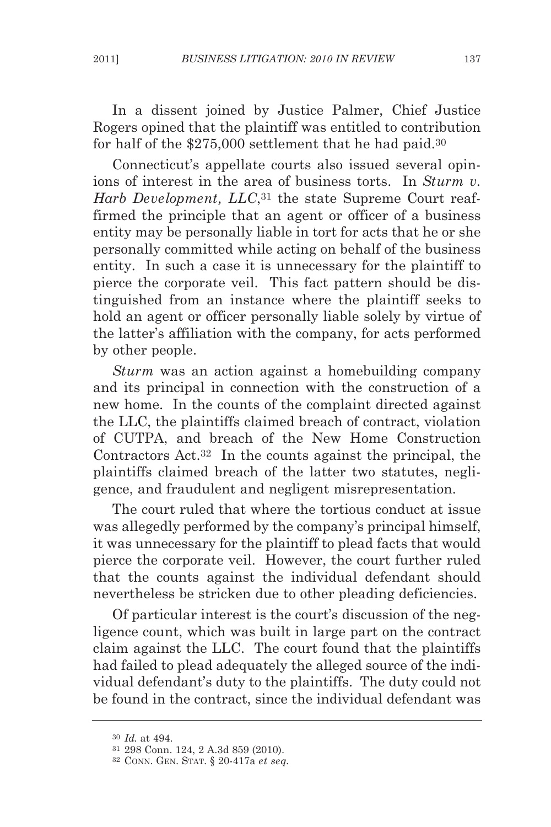In a dissent joined by Justice Palmer, Chief Justice Rogers opined that the plaintiff was entitled to contribution for half of the \$275,000 settlement that he had paid.30

Connecticut's appellate courts also issued several opinions of interest in the area of business torts. In *Sturm v. Harb Development, LLC*,<sup>31</sup> the state Supreme Court reaffirmed the principle that an agent or officer of a business entity may be personally liable in tort for acts that he or she personally committed while acting on behalf of the business entity. In such a case it is unnecessary for the plaintiff to pierce the corporate veil. This fact pattern should be distinguished from an instance where the plaintiff seeks to hold an agent or officer personally liable solely by virtue of the latter's affiliation with the company, for acts performed by other people.

*Sturm* was an action against a homebuilding company and its principal in connection with the construction of a new home. In the counts of the complaint directed against the LLC, the plaintiffs claimed breach of contract, violation of CUTPA, and breach of the New Home Construction Contractors Act.32 In the counts against the principal, the plaintiffs claimed breach of the latter two statutes, negligence, and fraudulent and negligent misrepresentation.

The court ruled that where the tortious conduct at issue was allegedly performed by the company's principal himself, it was unnecessary for the plaintiff to plead facts that would pierce the corporate veil. However, the court further ruled that the counts against the individual defendant should nevertheless be stricken due to other pleading deficiencies.

Of particular interest is the court's discussion of the negligence count, which was built in large part on the contract claim against the LLC. The court found that the plaintiffs had failed to plead adequately the alleged source of the individual defendant's duty to the plaintiffs. The duty could not be found in the contract, since the individual defendant was

<sup>30</sup> *Id.* at 494.

<sup>31</sup> 298 Conn. 124, 2 A.3d 859 (2010).

<sup>32</sup> CONN. GEN. STAT. § 20-417a *et seq.*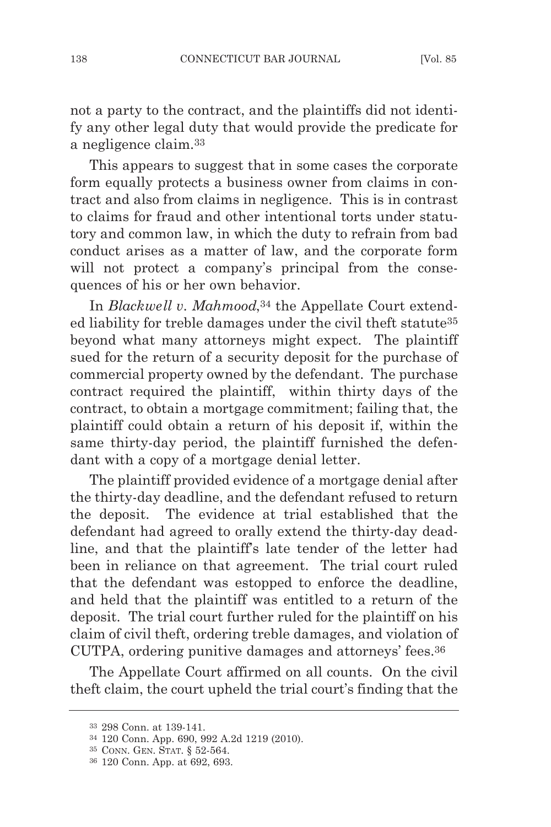not a party to the contract, and the plaintiffs did not identify any other legal duty that would provide the predicate for a negligence claim.33

This appears to suggest that in some cases the corporate form equally protects a business owner from claims in contract and also from claims in negligence. This is in contrast to claims for fraud and other intentional torts under statutory and common law, in which the duty to refrain from bad conduct arises as a matter of law, and the corporate form will not protect a company's principal from the consequences of his or her own behavior.

In *Blackwell v. Mahmood*<sup>34</sup> the Appellate Court extended liability for treble damages under the civil theft statute<sup>35</sup> beyond what many attorneys might expect. The plaintiff sued for the return of a security deposit for the purchase of commercial property owned by the defendant. The purchase contract required the plaintiff, within thirty days of the contract, to obtain a mortgage commitment; failing that, the plaintiff could obtain a return of his deposit if, within the same thirty-day period, the plaintiff furnished the defendant with a copy of a mortgage denial letter.

The plaintiff provided evidence of a mortgage denial after the thirty-day deadline, and the defendant refused to return the deposit. The evidence at trial established that the defendant had agreed to orally extend the thirty-day deadline, and that the plaintiff's late tender of the letter had been in reliance on that agreement. The trial court ruled that the defendant was estopped to enforce the deadline, and held that the plaintiff was entitled to a return of the deposit. The trial court further ruled for the plaintiff on his claim of civil theft, ordering treble damages, and violation of CUTPA, ordering punitive damages and attorneys' fees.36

The Appellate Court affirmed on all counts. On the civil theft claim, the court upheld the trial court's finding that the

<sup>33</sup> 298 Conn. at 139-141.

<sup>34</sup> 120 Conn. App. 690, 992 A.2d 1219 (2010).

<sup>35</sup> CONN. GEN. STAT. § 52-564.

<sup>36</sup> 120 Conn. App. at 692, 693.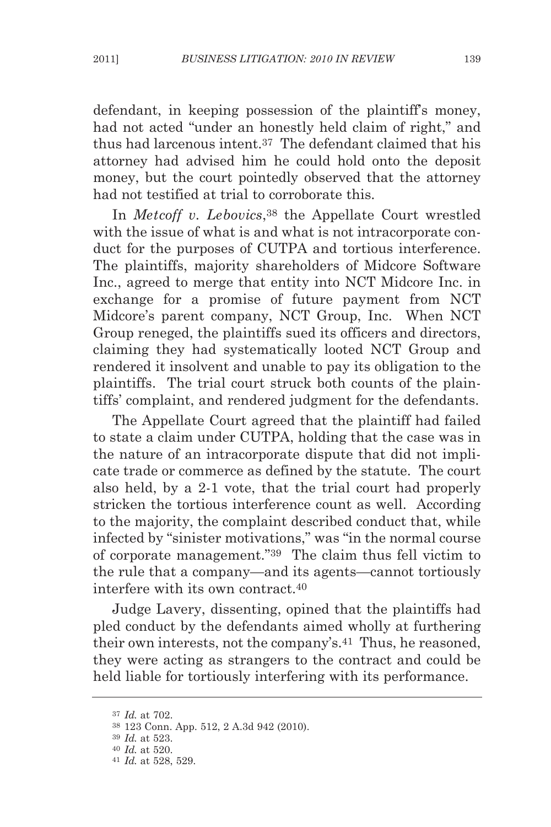defendant, in keeping possession of the plaintiff's money, had not acted "under an honestly held claim of right," and thus had larcenous intent.37 The defendant claimed that his attorney had advised him he could hold onto the deposit money, but the court pointedly observed that the attorney had not testified at trial to corroborate this.

In *Metcoff v. Lebovics*,38 the Appellate Court wrestled with the issue of what is and what is not intracorporate conduct for the purposes of CUTPA and tortious interference. The plaintiffs, majority shareholders of Midcore Software Inc., agreed to merge that entity into NCT Midcore Inc. in exchange for a promise of future payment from NCT Midcore's parent company, NCT Group, Inc. When NCT Group reneged, the plaintiffs sued its officers and directors, claiming they had systematically looted NCT Group and rendered it insolvent and unable to pay its obligation to the plaintiffs. The trial court struck both counts of the plaintiffs' complaint, and rendered judgment for the defendants.

The Appellate Court agreed that the plaintiff had failed to state a claim under CUTPA, holding that the case was in the nature of an intracorporate dispute that did not implicate trade or commerce as defined by the statute. The court also held, by a 2-1 vote, that the trial court had properly stricken the tortious interference count as well. According to the majority, the complaint described conduct that, while infected by "sinister motivations," was "in the normal course of corporate management."39 The claim thus fell victim to the rule that a company—and its agents—cannot tortiously interfere with its own contract.40

Judge Lavery, dissenting, opined that the plaintiffs had pled conduct by the defendants aimed wholly at furthering their own interests, not the company's.41 Thus, he reasoned, they were acting as strangers to the contract and could be held liable for tortiously interfering with its performance.

<sup>37</sup> *Id.* at 702.

<sup>38</sup> 123 Conn. App. 512, 2 A.3d 942 (2010).

<sup>39</sup> *Id.* at 523. 40 *Id.* at 520.

<sup>41</sup> *Id.* at 528, 529.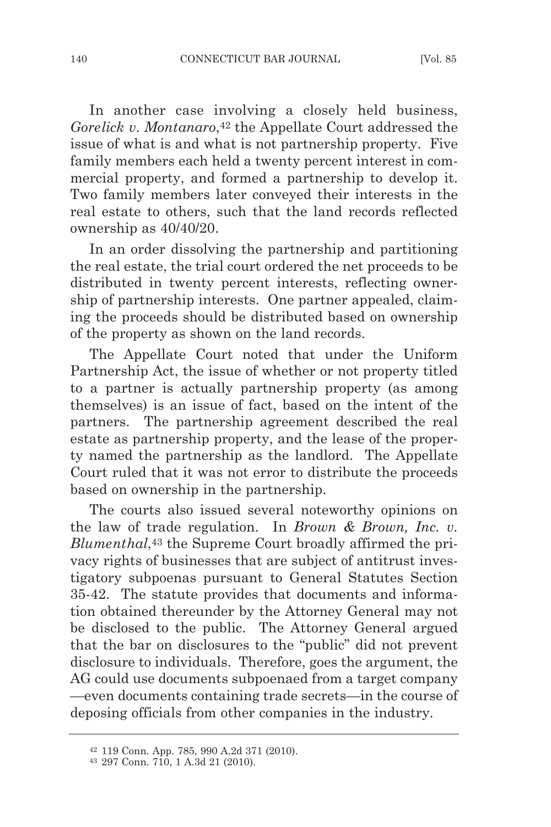In another case involving a closely held business, *Gorelick v. Montanaro*,<sup>42</sup> the Appellate Court addressed the issue of what is and what is not partnership property. Five family members each held a twenty percent interest in commercial property, and formed a partnership to develop it. Two family members later conveyed their interests in the real estate to others, such that the land records reflected ownership as 40/40/20.

In an order dissolving the partnership and partitioning the real estate, the trial court ordered the net proceeds to be distributed in twenty percent interests, reflecting ownership of partnership interests. One partner appealed, claiming the proceeds should be distributed based on ownership of the property as shown on the land records.

The Appellate Court noted that under the Uniform Partnership Act, the issue of whether or not property titled to a partner is actually partnership property (as among themselves) is an issue of fact, based on the intent of the partners. The partnership agreement described the real estate as partnership property, and the lease of the property named the partnership as the landlord. The Appellate Court ruled that it was not error to distribute the proceeds based on ownership in the partnership.

The courts also issued several noteworthy opinions on the law of trade regulation. In *Brown & Brown, Inc. v. Blumenthal*,43 the Supreme Court broadly affirmed the privacy rights of businesses that are subject of antitrust investigatory subpoenas pursuant to General Statutes Section 35-42. The statute provides that documents and information obtained thereunder by the Attorney General may not be disclosed to the public. The Attorney General argued that the bar on disclosures to the "public" did not prevent disclosure to individuals. Therefore, goes the argument, the AG could use documents subpoenaed from a target company —even documents containing trade secrets—in the course of deposing officials from other companies in the industry.

<sup>42</sup> 119 Conn. App. 785, 990 A.2d 371 (2010).

<sup>43</sup> 297 Conn. 710, 1 A.3d 21 (2010).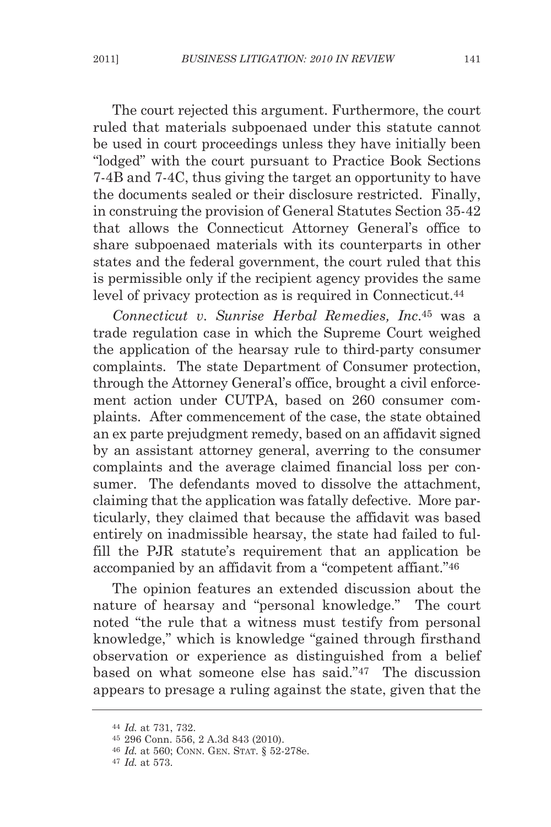The court rejected this argument. Furthermore, the court ruled that materials subpoenaed under this statute cannot be used in court proceedings unless they have initially been "lodged" with the court pursuant to Practice Book Sections 7-4B and 7-4C, thus giving the target an opportunity to have the documents sealed or their disclosure restricted. Finally, in construing the provision of General Statutes Section 35-42 that allows the Connecticut Attorney General's office to share subpoenaed materials with its counterparts in other states and the federal government, the court ruled that this is permissible only if the recipient agency provides the same level of privacy protection as is required in Connecticut.<sup>44</sup>

*Connecticut v. Sunrise Herbal Remedies, Inc*.45 was a trade regulation case in which the Supreme Court weighed the application of the hearsay rule to third-party consumer complaints. The state Department of Consumer protection, through the Attorney General's office, brought a civil enforcement action under CUTPA, based on 260 consumer complaints. After commencement of the case, the state obtained an ex parte prejudgment remedy, based on an affidavit signed by an assistant attorney general, averring to the consumer complaints and the average claimed financial loss per consumer. The defendants moved to dissolve the attachment, claiming that the application was fatally defective. More particularly, they claimed that because the affidavit was based entirely on inadmissible hearsay, the state had failed to fulfill the PJR statute's requirement that an application be accompanied by an affidavit from a "competent affiant."46

The opinion features an extended discussion about the nature of hearsay and "personal knowledge." The court noted "the rule that a witness must testify from personal knowledge," which is knowledge "gained through firsthand observation or experience as distinguished from a belief based on what someone else has said."47 The discussion appears to presage a ruling against the state, given that the

<sup>44</sup> *Id.* at 731, 732.

<sup>45</sup> 296 Conn. 556, 2 A.3d 843 (2010).

<sup>46</sup> *Id.* at 560; CONN. GEN. STAT. § 52-278e.

<sup>47</sup> *Id.* at 573.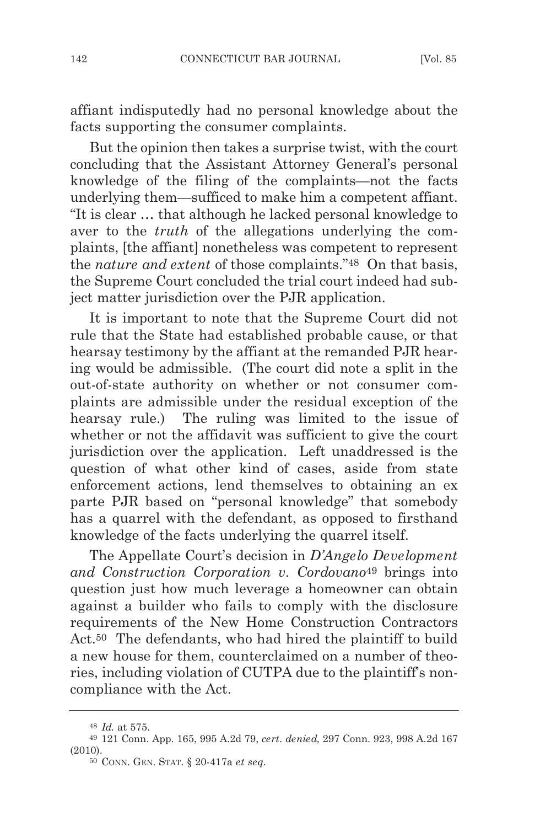affiant indisputedly had no personal knowledge about the facts supporting the consumer complaints.

But the opinion then takes a surprise twist, with the court concluding that the Assistant Attorney General's personal knowledge of the filing of the complaints—not the facts underlying them—sufficed to make him a competent affiant. "It is clear … that although he lacked personal knowledge to aver to the *truth* of the allegations underlying the complaints, [the affiant] nonetheless was competent to represent the *nature and extent* of those complaints."48 On that basis, the Supreme Court concluded the trial court indeed had subject matter jurisdiction over the PJR application.

It is important to note that the Supreme Court did not rule that the State had established probable cause, or that hearsay testimony by the affiant at the remanded PJR hearing would be admissible. (The court did note a split in the out-of-state authority on whether or not consumer complaints are admissible under the residual exception of the hearsay rule.) The ruling was limited to the issue of whether or not the affidavit was sufficient to give the court jurisdiction over the application. Left unaddressed is the question of what other kind of cases, aside from state enforcement actions, lend themselves to obtaining an ex parte PJR based on "personal knowledge" that somebody has a quarrel with the defendant, as opposed to firsthand knowledge of the facts underlying the quarrel itself.

The Appellate Court's decision in *D'Angelo Development and Construction Corporation v. Cordovano*<sup>49</sup> brings into question just how much leverage a homeowner can obtain against a builder who fails to comply with the disclosure requirements of the New Home Construction Contractors Act.50 The defendants, who had hired the plaintiff to build a new house for them, counterclaimed on a number of theories, including violation of CUTPA due to the plaintiff's noncompliance with the Act.

<sup>48</sup> *Id.* at 575.

<sup>49</sup> 121 Conn. App. 165, 995 A.2d 79, *cert. denied,* 297 Conn. 923, 998 A.2d 167 (2010).

<sup>50</sup> CONN. GEN. STAT. § 20-417a *et seq.*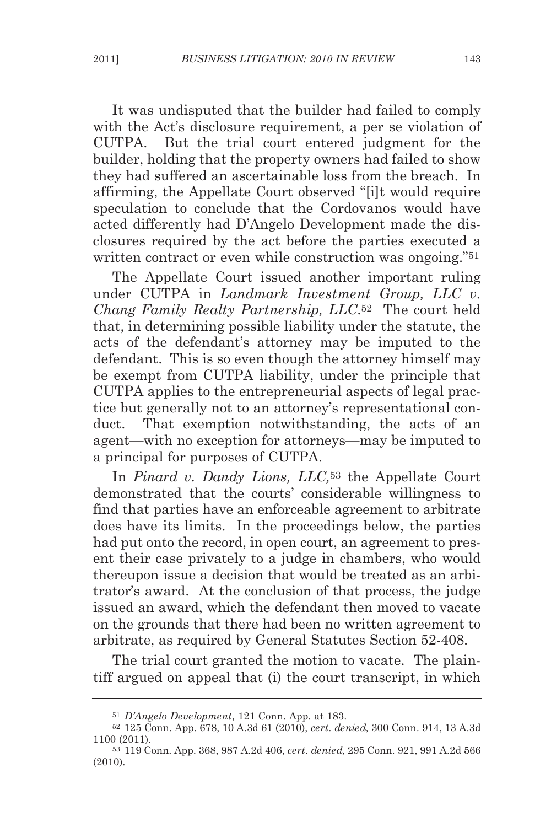It was undisputed that the builder had failed to comply with the Act's disclosure requirement, a per se violation of CUTPA. But the trial court entered judgment for the builder, holding that the property owners had failed to show they had suffered an ascertainable loss from the breach. In affirming, the Appellate Court observed "[i]t would require speculation to conclude that the Cordovanos would have acted differently had D'Angelo Development made the disclosures required by the act before the parties executed a written contract or even while construction was ongoing."<sup>51</sup>

The Appellate Court issued another important ruling under CUTPA in *Landmark Investment Group, LLC v. Chang Family Realty Partnership, LLC*.52 The court held that, in determining possible liability under the statute, the acts of the defendant's attorney may be imputed to the defendant. This is so even though the attorney himself may be exempt from CUTPA liability, under the principle that CUTPA applies to the entrepreneurial aspects of legal practice but generally not to an attorney's representational conduct. That exemption notwithstanding, the acts of an agent—with no exception for attorneys—may be imputed to a principal for purposes of CUTPA.

In *Pinard v. Dandy Lions, LLC,*<sup>53</sup> the Appellate Court demonstrated that the courts' considerable willingness to find that parties have an enforceable agreement to arbitrate does have its limits. In the proceedings below, the parties had put onto the record, in open court, an agreement to present their case privately to a judge in chambers, who would thereupon issue a decision that would be treated as an arbitrator's award. At the conclusion of that process, the judge issued an award, which the defendant then moved to vacate on the grounds that there had been no written agreement to arbitrate, as required by General Statutes Section 52-408.

The trial court granted the motion to vacate. The plaintiff argued on appeal that (i) the court transcript, in which

<sup>51</sup> *D'Angelo Development,* 121 Conn. App. at 183.

<sup>52</sup> 125 Conn. App. 678, 10 A.3d 61 (2010), *cert. denied,* 300 Conn. 914, 13 A.3d 1100 (2011).

<sup>53</sup> 119 Conn. App. 368, 987 A.2d 406, *cert. denied,* 295 Conn. 921, 991 A.2d 566 (2010).